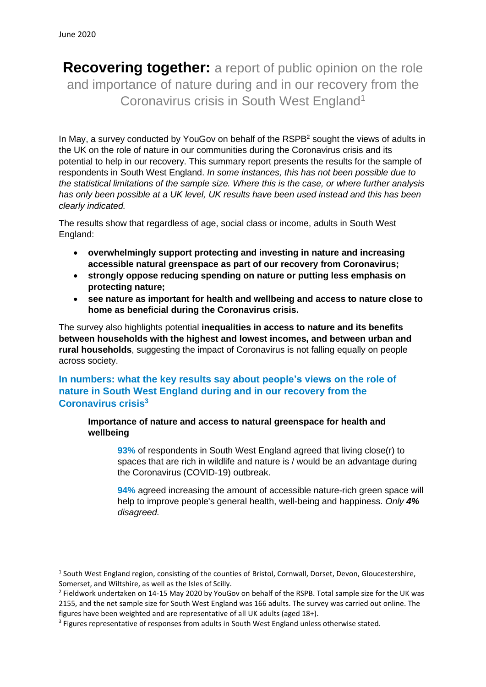**Recovering together:** a report of public opinion on the role and importance of nature during and in our recovery from the Coronavirus crisis in South West England<sup>1</sup>

In May, a survey conducted by YouGoy on behalf of the RSPB<sup>2</sup> sought the views of adults in the UK on the role of nature in our communities during the Coronavirus crisis and its potential to help in our recovery. This summary report presents the results for the sample of respondents in South West England. *In some instances, this has not been possible due to the statistical limitations of the sample size. Where this is the case, or where further analysis has only been possible at a UK level, UK results have been used instead and this has been clearly indicated.*

The results show that regardless of age, social class or income, adults in South West England:

- **overwhelmingly support protecting and investing in nature and increasing accessible natural greenspace as part of our recovery from Coronavirus;**
- **strongly oppose reducing spending on nature or putting less emphasis on protecting nature;**
- **see nature as important for health and wellbeing and access to nature close to home as beneficial during the Coronavirus crisis.**

The survey also highlights potential **inequalities in access to nature and its benefits between households with the highest and lowest incomes, and between urban and rural households**, suggesting the impact of Coronavirus is not falling equally on people across society.

# **In numbers: what the key results say about people's views on the role of nature in South West England during and in our recovery from the Coronavirus crisis 3**

**Importance of nature and access to natural greenspace for health and wellbeing**

**93%** of respondents in South West England agreed that living close(r) to spaces that are rich in wildlife and nature is / would be an advantage during the Coronavirus (COVID-19) outbreak.

**94%** agreed increasing the amount of accessible nature-rich green space will help to improve people's general health, well-being and happiness. *Only 4% disagreed.*

<sup>&</sup>lt;sup>1</sup> South West England region, consisting of the counties of Bristol, Cornwall, Dorset, Devon, Gloucestershire, Somerset, and Wiltshire, as well as the Isles of Scilly.

<sup>&</sup>lt;sup>2</sup> Fieldwork undertaken on 14-15 May 2020 by YouGov on behalf of the RSPB. Total sample size for the UK was 2155, and the net sample size for South West England was 166 adults. The survey was carried out online. The figures have been weighted and are representative of all UK adults (aged 18+).

<sup>&</sup>lt;sup>3</sup> Figures representative of responses from adults in South West England unless otherwise stated.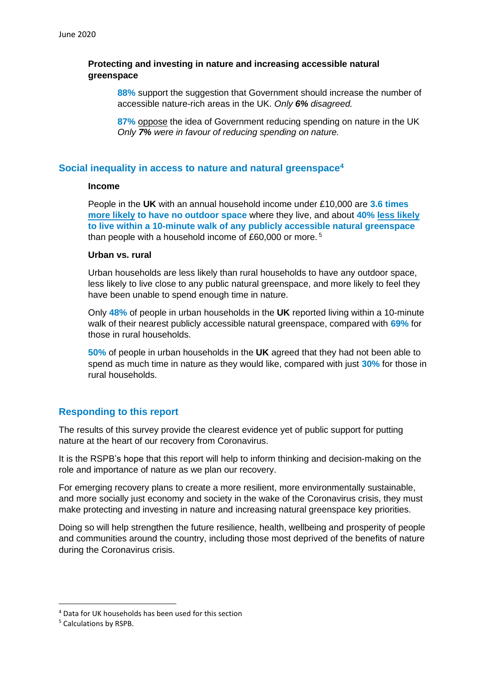### **Protecting and investing in nature and increasing accessible natural greenspace**

**88%** support the suggestion that Government should increase the number of accessible nature-rich areas in the UK. *Only 6% disagreed.*

**87%** oppose the idea of Government reducing spending on nature in the UK *Only 7% were in favour of reducing spending on nature.*

### **Social inequality in access to nature and natural greenspace<sup>4</sup>**

#### **Income**

People in the **UK** with an annual household income under £10,000 are **3.6 times more likely to have no outdoor space** where they live, and about **40% less likely to live within a 10-minute walk of any publicly accessible natural greenspace** than people with a household income of £60,000 or more. <sup>5</sup>

### **Urban vs. rural**

Urban households are less likely than rural households to have any outdoor space, less likely to live close to any public natural greenspace, and more likely to feel they have been unable to spend enough time in nature.

Only **48%** of people in urban households in the **UK** reported living within a 10-minute walk of their nearest publicly accessible natural greenspace, compared with **69%** for those in rural households.

**50%** of people in urban households in the **UK** agreed that they had not been able to spend as much time in nature as they would like, compared with just **30%** for those in rural households.

## **Responding to this report**

The results of this survey provide the clearest evidence yet of public support for putting nature at the heart of our recovery from Coronavirus.

It is the RSPB's hope that this report will help to inform thinking and decision-making on the role and importance of nature as we plan our recovery.

For emerging recovery plans to create a more resilient, more environmentally sustainable, and more socially just economy and society in the wake of the Coronavirus crisis, they must make protecting and investing in nature and increasing natural greenspace key priorities.

Doing so will help strengthen the future resilience, health, wellbeing and prosperity of people and communities around the country, including those most deprived of the benefits of nature during the Coronavirus crisis.

<sup>4</sup> Data for UK households has been used for this section

<sup>5</sup> Calculations by RSPB.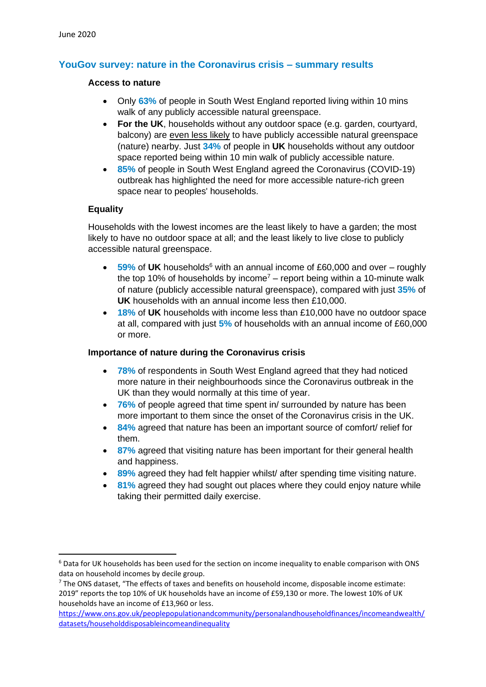# **YouGov survey: nature in the Coronavirus crisis – summary results**

#### **Access to nature**

- Only **63%** of people in South West England reported living within 10 mins walk of any publicly accessible natural greenspace.
- **For the UK**, households without any outdoor space (e.g. garden, courtyard, balcony) are even less likely to have publicly accessible natural greenspace (nature) nearby. Just **34%** of people in **UK** households without any outdoor space reported being within 10 min walk of publicly accessible nature.
- **85%** of people in South West England agreed the Coronavirus (COVID-19) outbreak has highlighted the need for more accessible nature-rich green space near to peoples' households.

### **Equality**

Households with the lowest incomes are the least likely to have a garden; the most likely to have no outdoor space at all; and the least likely to live close to publicly accessible natural greenspace.

- 59% of UK households<sup>6</sup> with an annual income of £60,000 and over roughly the top 10% of households by income<sup>7</sup> – report being within a 10-minute walk of nature (publicly accessible natural greenspace), compared with just **35%** of **UK** households with an annual income less then £10,000.
- **18%** of **UK** households with income less than £10,000 have no outdoor space at all, compared with just **5%** of households with an annual income of £60,000 or more.

### **Importance of nature during the Coronavirus crisis**

- **78%** of respondents in South West England agreed that they had noticed more nature in their neighbourhoods since the Coronavirus outbreak in the UK than they would normally at this time of year.
- **76%** of people agreed that time spent in/ surrounded by nature has been more important to them since the onset of the Coronavirus crisis in the UK.
- **84%** agreed that nature has been an important source of comfort/ relief for them.
- **87%** agreed that visiting nature has been important for their general health and happiness.
- 89% agreed they had felt happier whilst/ after spending time visiting nature.
- **81%** agreed they had sought out places where they could enjoy nature while taking their permitted daily exercise.

<sup>&</sup>lt;sup>6</sup> Data for UK households has been used for the section on income inequality to enable comparison with ONS data on household incomes by decile group.

 $7$  The ONS dataset, "The effects of taxes and benefits on household income, disposable income estimate: 2019" reports the top 10% of UK households have an income of £59,130 or more. The lowest 10% of UK households have an income of £13,960 or less.

[https://www.ons.gov.uk/peoplepopulationandcommunity/personalandhouseholdfinances/incomeandwealth/](https://www.ons.gov.uk/peoplepopulationandcommunity/personalandhouseholdfinances/incomeandwealth/datasets/householddisposableincomeandinequality) [datasets/householddisposableincomeandinequality](https://www.ons.gov.uk/peoplepopulationandcommunity/personalandhouseholdfinances/incomeandwealth/datasets/householddisposableincomeandinequality)